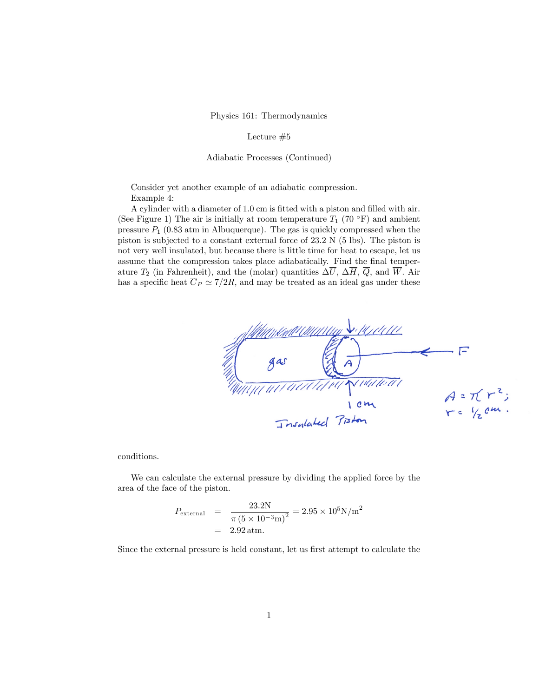Physics 161: Thermodynamics

Lecture  $#5$ 

Adiabatic Processes (Continued)

Consider yet another example of an adiabatic compression. Example 4:

A cylinder with a diameter of 1.0 cm is fitted with a piston and filled with air. (See Figure 1) The air is initially at room temperature  $T_1$  (70 °F) and ambient pressure  $P_1$  (0.83 atm in Albuquerque). The gas is quickly compressed when the piston is subjected to a constant external force of 23.2 N (5 lbs). The piston is not very well insulated, but because there is little time for heat to escape, let us assume that the compression takes place adiabatically. Find the final temperature  $T_2$  (in Fahrenheit), and the (molar) quantities  $\Delta \overline{U}$ ,  $\Delta \overline{H}$ ,  $\overline{Q}$ , and  $\overline{W}$ . Air has a specific heat  $\overline{C}_P \simeq 7/2R$ , and may be treated as an ideal gas under these



conditions.

We can calculate the external pressure by dividing the applied force by the area of the face of the piston.

$$
P_{\text{external}} = \frac{23.2 \text{N}}{\pi (5 \times 10^{-3} \text{m})^2} = 2.95 \times 10^5 \text{N/m}^2
$$
  
= 2.92 atm.

Since the external pressure is held constant, let us first attempt to calculate the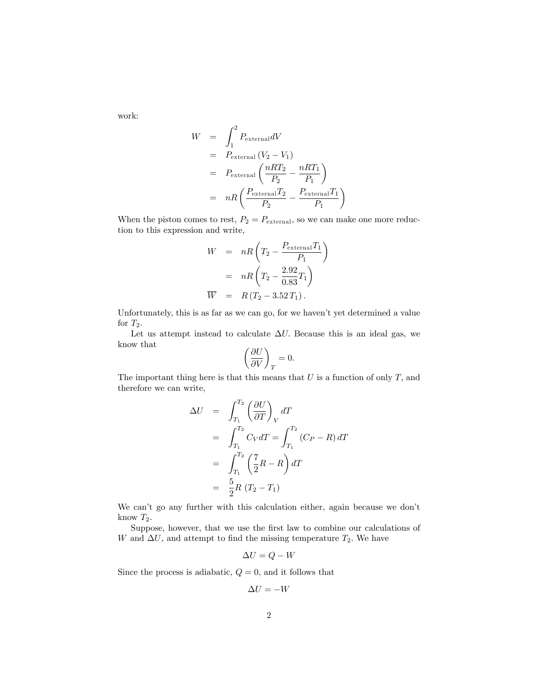work:

$$
W = \int_{1}^{2} P_{\text{external}} dV
$$
  
=  $P_{\text{external}} (V_2 - V_1)$   
=  $P_{\text{external}} \left( \frac{nRT_2}{P_2} - \frac{nRT_1}{P_1} \right)$   
=  $nR \left( \frac{P_{\text{external}} T_2}{P_2} - \frac{P_{\text{external}} T_1}{P_1} \right)$ 

When the piston comes to rest,  $P_2 = P_{\text{external}}$ , so we can make one more reduction to this expression and write,

$$
W = nR\left(T_2 - \frac{P_{\text{external}}T_1}{P_1}\right)
$$

$$
= nR\left(T_2 - \frac{2.92}{0.83}T_1\right)
$$

$$
\overline{W} = R(T_2 - 3.52T_1).
$$

Unfortunately, this is as far as we can go, for we haven't yet determined a value for  $T_2$ .

Let us attempt instead to calculate  $\Delta U$ . Because this is an ideal gas, we know that

$$
\left(\frac{\partial U}{\partial V}\right)_T=0.
$$

The important thing here is that this means that  $U$  is a function of only  $T$ , and therefore we can write,

$$
\Delta U = \int_{T_1}^{T_2} \left(\frac{\partial U}{\partial T}\right)_V dT
$$
  
\n
$$
= \int_{T_1}^{T_2} C_V dT = \int_{T_1}^{T_2} (C_P - R) dT
$$
  
\n
$$
= \int_{T_1}^{T_2} \left(\frac{7}{2}R - R\right) dT
$$
  
\n
$$
= \frac{5}{2}R (T_2 - T_1)
$$

We can't go any further with this calculation either, again because we don't know  $T_2$ .

Suppose, however, that we use the first law to combine our calculations of W and  $\Delta U$ , and attempt to find the missing temperature  $T_2$ . We have

$$
\Delta U = Q - W
$$

Since the process is adiabatic,  $Q = 0$ , and it follows that

$$
\Delta U = -W
$$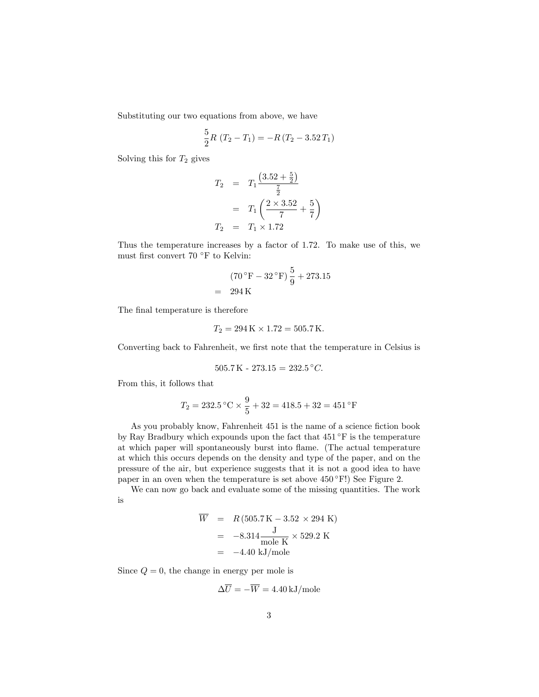Substituting our two equations from above, we have

$$
\frac{5}{2}R(T_2 - T_1) = -R(T_2 - 3.52T_1)
$$

Solving this for  $T_2$  gives

$$
T_2 = T_1 \frac{\left(3.52 + \frac{5}{2}\right)}{\frac{7}{2}}
$$
  
=  $T_1 \left(\frac{2 \times 3.52}{7} + \frac{5}{7}\right)$   

$$
T_2 = T_1 \times 1.72
$$

Thus the temperature increases by a factor of 1.72. To make use of this, we must first convert 70  $^{\circ}\rm{F}$  to Kelvin:

$$
(70 °F - 32 °F) \frac{5}{9} + 273.15
$$
  
= 294 K

The final temperature is therefore

$$
T_2 = 294 \,\mathrm{K} \times 1.72 = 505.7 \,\mathrm{K}.
$$

Converting back to Fahrenheit, we first note that the temperature in Celsius is

$$
505.7 \,\mathrm{K} - 273.15 = 232.5 \,^{\circ}C.
$$

From this, it follows that

$$
T_2 = 232.5 \, \text{°C} \times \frac{9}{5} + 32 = 418.5 + 32 = 451 \, \text{°F}
$$

As you probably know, Fahrenheit 451 is the name of a science fiction book by Ray Bradbury which expounds upon the fact that  $451^{\circ}$  F is the temperature at which paper will spontaneously burst into flame. (The actual temperature at which this occurs depends on the density and type of the paper, and on the pressure of the air, but experience suggests that it is not a good idea to have paper in an oven when the temperature is set above  $450^{\circ}$ F!) See Figure 2.

We can now go back and evaluate some of the missing quantities. The work is

$$
\overline{W} = R (505.7 \text{ K} - 3.52 \times 294 \text{ K})
$$
  
= -8.314 \frac{\text{J}}{\text{mole K}} \times 529.2 \text{ K}  
= -4.40 \text{ kJ/mole}

Since  $Q = 0$ , the change in energy per mole is

$$
\Delta \overline{U} = -\overline{W} = 4.40 \,\mathrm{kJ/mole}
$$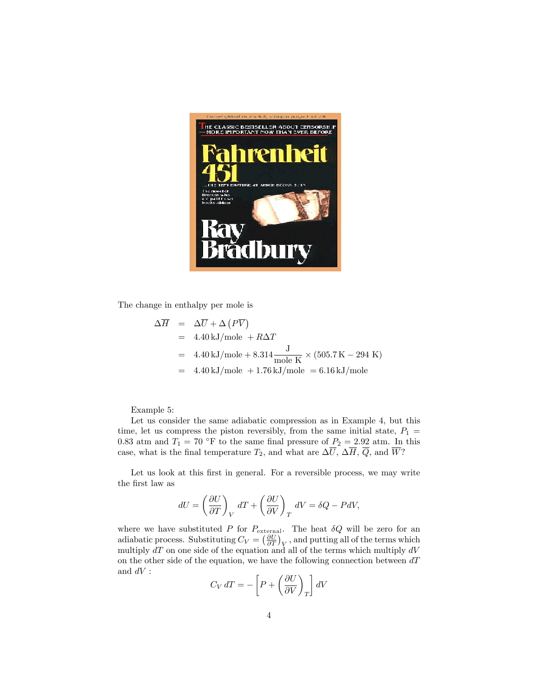

The change in enthalpy per mole is

$$
\Delta \overline{H} = \Delta \overline{U} + \Delta (P\overline{V})
$$
  
= 4.40 kJ/mole + R\Delta T  
= 4.40 kJ/mole + 8.314  $\frac{J}{\text{mole K}} \times (505.7 \text{ K} - 294 \text{ K})$   
= 4.40 kJ/mole + 1.76 kJ/mole = 6.16 kJ/mole

Example 5:

Let us consider the same adiabatic compression as in Example 4, but this time, let us compress the piston reversibly, from the same initial state,  $P_1$  = 0.83 atm and  $T_1 = 70$  °F to the same final pressure of  $P_2 = 2.92$  atm. In this case, what is the final temperature  $T_2$ , and what are  $\Delta \overline{U}$ ,  $\Delta \overline{H}$ ,  $\overline{Q}$ , and  $\overline{W}$ ?

Let us look at this first in general. For a reversible process, we may write the first law as

$$
dU = \left(\frac{\partial U}{\partial T}\right)_V dT + \left(\frac{\partial U}{\partial V}\right)_T dV = \delta Q - P dV,
$$

where we have substituted P for  $P_{\text{external}}$ . The heat  $\delta Q$  will be zero for an adiabatic process. Substituting  $C_V = \left(\frac{\partial U}{\partial T}\right)_V$ , and putting all of the terms which multiply  $dT$  on one side of the equation and all of the terms which multiply  $dV$ on the other side of the equation, we have the following connection between  $dT$ and  $dV$  :

$$
C_V dT = -\left[P + \left(\frac{\partial U}{\partial V}\right)_T\right] dV
$$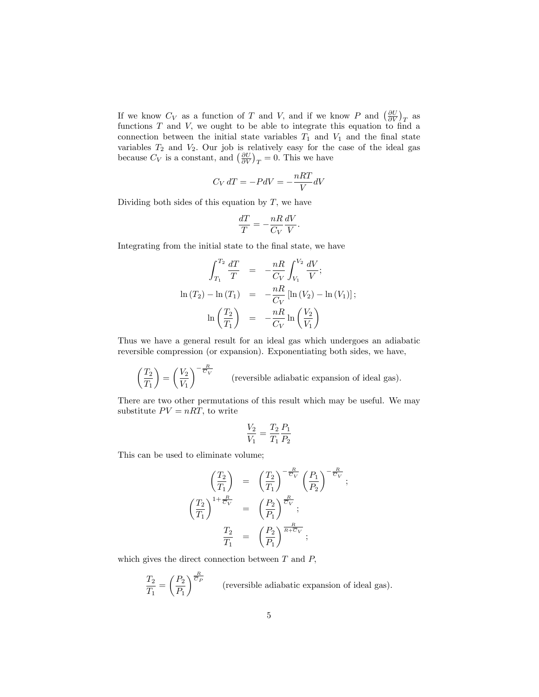If we know  $C_V$  as a function of T and V, and if we know P and  $\left(\frac{\partial U}{\partial V}\right)_T$  as functions  $T$  and  $V$ , we ought to be able to integrate this equation to find a connection between the initial state variables  $T_1$  and  $V_1$  and the final state variables  $T_2$  and  $V_2$ . Our job is relatively easy for the case of the ideal gas because  $C_V$  is a constant, and  $\left(\frac{\partial U}{\partial V}\right)_T = 0$ . This we have

$$
C_V dT = -P dV = -\frac{nRT}{V} dV
$$

Dividing both sides of this equation by  $T$ , we have

$$
\frac{dT}{T} = -\frac{nR}{C_V} \frac{dV}{V}.
$$

Integrating from the initial state to the final state, we have

$$
\int_{T_1}^{T_2} \frac{dT}{T} = -\frac{nR}{C_V} \int_{V_1}^{V_2} \frac{dV}{V};
$$
  
\n
$$
\ln(T_2) - \ln(T_1) = -\frac{nR}{C_V} [\ln(V_2) - \ln(V_1)];
$$
  
\n
$$
\ln\left(\frac{T_2}{T_1}\right) = -\frac{nR}{C_V} \ln\left(\frac{V_2}{V_1}\right)
$$

Thus we have a general result for an ideal gas which undergoes an adiabatic reversible compression (or expansion). Exponentiating both sides, we have,

$$
\left(\frac{T_2}{T_1}\right) = \left(\frac{V_2}{V_1}\right)^{-\frac{R}{\overline{C}_V}}
$$
 (reversible adiabatic expansion of ideal gas).

There are two other permutations of this result which may be useful. We may substitute  $PV = nRT$ , to write

$$
\frac{V_2}{V_1}=\frac{T_2}{T_1}\frac{P_1}{P_2}
$$

This can be used to eliminate volume;

$$
\begin{pmatrix}\n\frac{T_2}{T_1}\n\end{pmatrix} = \left(\frac{T_2}{T_1}\right)^{-\frac{R}{C_V}} \left(\frac{P_1}{P_2}\right)^{-\frac{R}{C_V}};
$$
\n
$$
\begin{pmatrix}\n\frac{T_2}{T_1}\n\end{pmatrix}^{1+\frac{R}{C_V}} = \left(\frac{P_2}{P_1}\right)^{\frac{R}{C_V}};
$$
\n
$$
\frac{T_2}{T_1} = \left(\frac{P_2}{P_1}\right)^{\frac{R}{R+\overline{C_V}}};
$$

which gives the direct connection between  $T$  and  $P$ ,

$$
\frac{T_2}{T_1} = \left(\frac{P_2}{P_1}\right)^{\frac{R}{C_P}}
$$
 (reversible adiabatic expansion of ideal gas).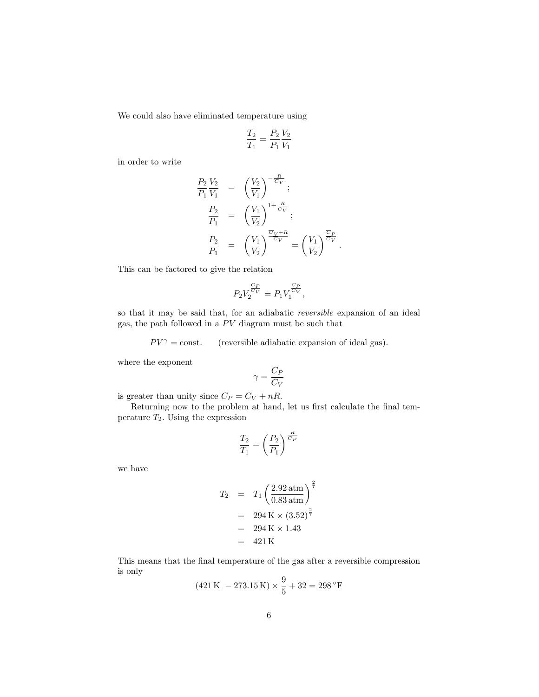We could also have eliminated temperature using

$$
\frac{T_2}{T_1} = \frac{P_2}{P_1} \frac{V_2}{V_1}
$$

in order to write

$$
\frac{P_2 V_2}{P_1 V_1} = \left(\frac{V_2}{V_1}\right)^{-\frac{R}{C_V}};
$$
\n
$$
\frac{P_2}{P_1} = \left(\frac{V_1}{V_2}\right)^{1+\frac{R}{C_V}};
$$
\n
$$
\frac{P_2}{P_1} = \left(\frac{V_1}{V_2}\right)^{\frac{\overline{C_V}+R}{\overline{C_V}}} = \left(\frac{V_1}{V_2}\right)^{\frac{\overline{C_P}}{\overline{C_V}}}.
$$

This can be factored to give the relation

$$
P_2 V_2^{\frac{C_P}{C_V}} = P_1 V_1^{\frac{C_P}{C_V}},
$$

so that it may be said that, for an adiabatic reversible expansion of an ideal gas, the path followed in a  $PV$  diagram must be such that

 $PV^{\gamma} = \text{const.}$  (reversible adiabatic expansion of ideal gas).

where the exponent

$$
\gamma = \frac{C_P}{C_V}
$$

is greater than unity since  $C_P = C_V + nR$ .

Returning now to the problem at hand, let us first calculate the final temperature  $T_2$ . Using the expression

$$
\frac{T_2}{T_1} = \left(\frac{P_2}{P_1}\right)^{\frac{R}{\overline{G}_P}}
$$

we have

$$
T_2 = T_1 \left( \frac{2.92 \text{ atm}}{0.83 \text{ atm}} \right)^{\frac{2}{7}}
$$
  
= 294 K × (3.52)<sup>2</sup>  
= 294 K × 1.43  
= 421 K

This means that the final temperature of the gas after a reversible compression is only  $\overline{Q}$ 

$$
(421\,\mathrm{K} - 273.15\,\mathrm{K}) \times \frac{9}{5} + 32 = 298\,\mathrm{°F}
$$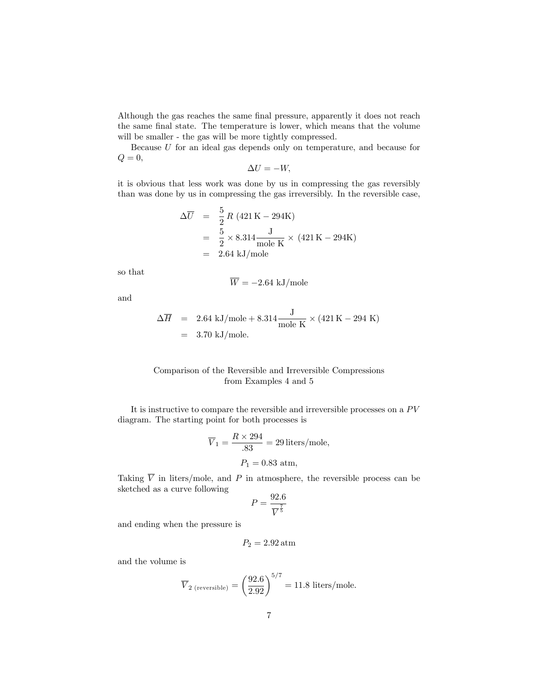Although the gas reaches the same final pressure, apparently it does not reach the same final state. The temperature is lower, which means that the volume will be smaller - the gas will be more tightly compressed.

Because U for an ideal gas depends only on temperature, and because for  $Q=0,$ 

$$
\Delta U = -W,
$$

it is obvious that less work was done by us in compressing the gas reversibly than was done by us in compressing the gas irreversibly. In the reversible case,

$$
\Delta \overline{U} = \frac{5}{2} R (421 \text{ K} - 294 \text{ K})
$$
  
=  $\frac{5}{2} \times 8.314 \frac{\text{J}}{\text{mole K}} \times (421 \text{ K} - 294 \text{ K})$   
= 2.64 kJ/mole

so that

$$
\overline{W} = -2.64 \text{ kJ/mole}
$$

and

$$
\Delta \overline{H} = 2.64 \text{ kJ/mole} + 8.314 \frac{\text{J}}{\text{mole K}} \times (421 \text{ K} - 294 \text{ K})
$$
  
= 3.70 kJ/mole.

## Comparison of the Reversible and Irreversible Compressions from Examples 4 and 5

It is instructive to compare the reversible and irreversible processes on a  $PV$ diagram. The starting point for both processes is

$$
\overline{V}_1 = \frac{R \times 294}{.83} = 29 \,\text{liters/mole},
$$
  

$$
P_1 = 0.83 \text{ atm},
$$

Taking  $\overline{V}$  in liters/mole, and P in atmosphere, the reversible process can be sketched as a curve following

$$
P = \frac{92.6}{\overline{V}^{\frac{7}{5}}}
$$

and ending when the pressure is

$$
P_2 = 2.92\,\mathrm{atm}
$$

and the volume is

$$
\overline{V}_{2 \text{ (reversible)}} = \left(\frac{92.6}{2.92}\right)^{5/7} = 11.8 \text{ liters/mole.}
$$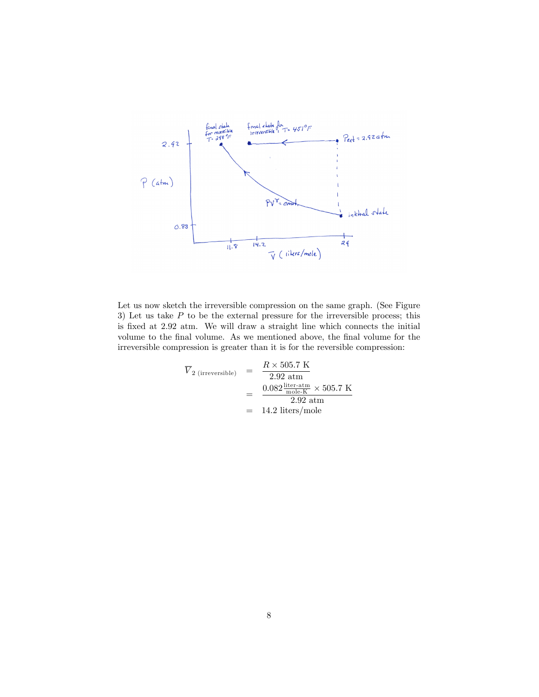

Let us now sketch the irreversible compression on the same graph. (See Figure 3) Let us take  $P$  to be the external pressure for the irreversible process; this is fixed at 2.92 atm. We will draw a straight line which connects the initial volume to the final volume. As we mentioned above, the final volume for the irreversible compression is greater than it is for the reversible compression:

$$
\overline{V}_{2 \text{ (irreversible)}} = \frac{R \times 505.7 \text{ K}}{2.92 \text{ atm}}
$$
\n
$$
= \frac{0.082 \frac{\text{liter-atm}}{\text{mole-K}} \times 505.7 \text{ K}}{2.92 \text{ atm}}
$$
\n
$$
= 14.2 \text{ liters/mole}
$$